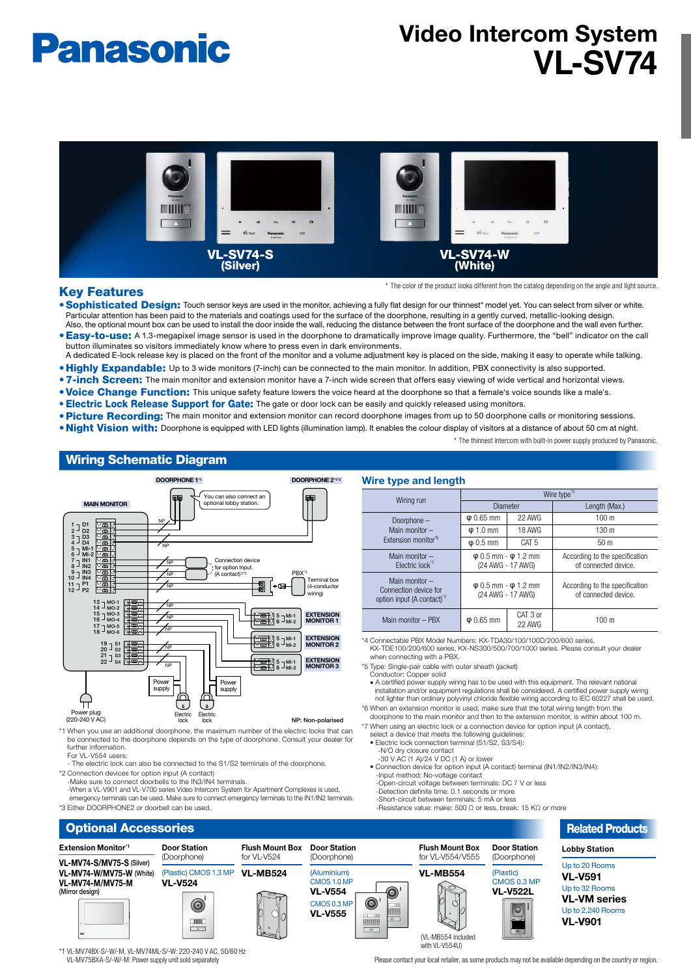# **Panasonic**

## **Video Intercom System VL-SV74**



## **Key Features**

further information For VL-V554 users:

\*2 Connection devices for option input (A contact) Sommodium devices for option input (it connect)

\*3 Fither DOORPHONE2 or doorbell can be used.

\* The color of the product looks different from the catalog depending on the angle and light source.

- . Sophisticated Design: Touch sensor keys are used in the monitor, achieving a fully flat design for our thinnest\* model yet. You can select from silver or white. Particular attention has been paid to the materials and coatings used for the surface of the doorphone, resulting in a gently curved, metallic-looking design. Also, the optional mount box can be used to install the door inside the wall, reducing the distance between the front surface of the doorphone and the wall even further.
- . Easy-to-use: A 1.3-megapixel image sensor is used in the doorphone to dramatically improve image quality. Furthermore, the "bell" indicator on the call button illuminates so visitors immediately know where to press even in dark environments. A dedicated E-lock release key is placed on the front of the monitor and a volume adjustment key is placed on the side, making it easy to operate while talking.
- . Highly Expandable: Up to 3 wide monitors (7-inch) can be connected to the main monitor. In addition, PBX connectivity is also supported.
- . 7-inch Screen: The main monitor and extension monitor have a 7-inch wide screen that offers easy viewing of wide vertical and horizontal views.
- . Voice Change Function: This unique safety feature lowers the voice heard at the doorphone so that a female's voice sounds like a male's.
- **. Electric Lock Release Support for Gate:** The gate or door lock can be easily and quickly released using monitors.
- . Picture Recording: The main monitor and extension monitor can record doorphone images from up to 50 doorphone calls or monitoring sessions.
- . Night Vision with: Doorphone is equipped with LED lights (illumination lamp). It enables the colour display of visitors at a distance of about 50 cm at night.
	- \* The thinnest intercom with built-in power supply produced by Panasonic.

## **Wiring Schematic Diagram**



be connected to the doorphone depends on the type of doorphone. Consult your dealer for

The electric lock can also be connected to the S1/S2 terminals of the doorphone.

-When a VL-V901 and VL-V700 series Video Intercom System for Apartment Complexes is used emergency terminals can be used. Make sure to connect emergency terminals to the IN1/IN2 terminals

\*4 Connectable PBX Model Numbers: KX-TDA30/100/100D/200/600 series KX-TDE100/200/600 series, KX-NS300/500/700/1000 series. Please consult your dealer when connecting with a PBX. **Wire type and length** Wire type Wiring run Diameter **Length (Max.)**  – Doorphone Main monitor -Extension monitor<sup>®</sup>  $\overline{\varphi}$  0.65 mm 22 AWG 100 m  $\frac{130 \text{ m}}{1840 \text{ G}}$  18 AWG 130 m **φ** 0.5 mm **CAT 5** 50 m Main monitor -Electric lock  $φ$  0.5 mm  $φ$  1.2 mm (24 AWG - 17 AWG) According to the specification of connected device. Main monitor -Connection device for option input (A contact)<sup>1</sup>  $φ$  0.5 mm -  $φ$  1.2 mm  $(24 \text{ AWG} - 17 \text{ AWG})$ According to the specification of connected device.  $CAT 3 0$ Main monitor – PBX  $\vert \varphi \vert$  0.65 mm  $100 m$ 22 AWG

\*5 Type: Single-pair cable with outer sheath (jacket)

- Conductor: Copper solid
- A certified power supply wiring has to be used with this equipment. The relevant national installation and/or equipment regulations shall be considered. A certified power supply wiring<br>not lighter than ordinary polyvinyl chloride flexible wiring according to IEC 60227 shall be used. \*6 When an extension monitor is used, make sure that the total wiring length from the
- doorphone to the main monitor and then to the extension monitor, is within about 100 m. \*7 When using an electric lock or a connection device for option input (A contact).
- select a device that meets the following guidelines:<br>• Electric lock connection terminal (S1/S2, S3/S4):
- 
- -N/O dry closure contact<br>-30 V AC (1 A)/24 V DC (1 A) or lower
- Connection device for option input (A contact) terminal (IN1/IN2/IN3/IN4): -Input method: No-voltage contact
- -Open-circuit voltage between terminals: DC 7 V or less
- -Detection definite time: 0.1 seconds or more
- -Short-circuit between terminals: 5 mA or less<br>-Resistance value: make: 500 Ω or less, break: 15 KΩ or more
- 



\*1 VI-MVZ4RX-S/-W/-M VI-MVZ4ML-S/-W· 220-240 V AC 50/60 Hz VL-MV75BXA-S/-W/-M: Power supply unit sold separately

Please contact your local retailer, as some products may not be available depending on the country or region.